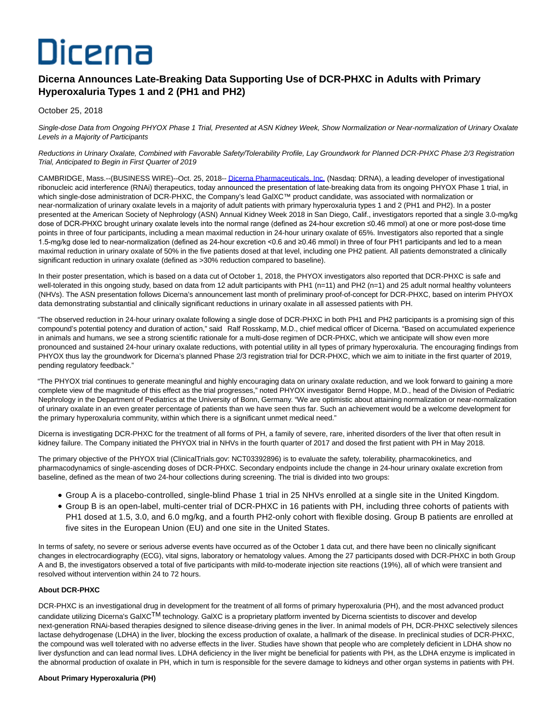# Dicerna

# **Dicerna Announces Late-Breaking Data Supporting Use of DCR-PHXC in Adults with Primary Hyperoxaluria Types 1 and 2 (PH1 and PH2)**

### October 25, 2018

Single-dose Data from Ongoing PHYOX Phase 1 Trial, Presented at ASN Kidney Week, Show Normalization or Near-normalization of Urinary Oxalate Levels in a Majority of Participants

Reductions in Urinary Oxalate, Combined with Favorable Safety/Tolerability Profile, Lay Groundwork for Planned DCR-PHXC Phase 2/3 Registration Trial, Anticipated to Begin in First Quarter of 2019

CAMBRIDGE, Mass.--(BUSINESS WIRE)--Oct. 25, 2018-[- Dicerna Pharmaceuticals, Inc. \(](http://cts.businesswire.com/ct/CT?id=smartlink&url=https%3A%2F%2Fdicerna.com%2F&esheet=51889109&newsitemid=20181025005752&lan=en-US&anchor=Dicerna+Pharmaceuticals%2C+Inc.&index=1&md5=e667d968bb23260e35949da5abe202c8)Nasdaq: DRNA), a leading developer of investigational ribonucleic acid interference (RNAi) therapeutics, today announced the presentation of late-breaking data from its ongoing PHYOX Phase 1 trial, in which single-dose administration of DCR-PHXC, the Company's lead GalXC™ product candidate, was associated with normalization or near-normalization of urinary oxalate levels in a majority of adult patients with primary hyperoxaluria types 1 and 2 (PH1 and PH2). In a poster presented at the American Society of Nephrology (ASN) Annual Kidney Week 2018 in San Diego, Calif., investigators reported that a single 3.0-mg/kg dose of DCR-PHXC brought urinary oxalate levels into the normal range (defined as 24-hour excretion ≤0.46 mmol) at one or more post-dose time points in three of four participants, including a mean maximal reduction in 24-hour urinary oxalate of 65%. Investigators also reported that a single 1.5-mg/kg dose led to near-normalization (defined as 24-hour excretion <0.6 and ≥0.46 mmol) in three of four PH1 participants and led to a mean maximal reduction in urinary oxalate of 50% in the five patients dosed at that level, including one PH2 patient. All patients demonstrated a clinically significant reduction in urinary oxalate (defined as >30% reduction compared to baseline).

In their poster presentation, which is based on a data cut of October 1, 2018, the PHYOX investigators also reported that DCR-PHXC is safe and well-tolerated in this ongoing study, based on data from 12 adult participants with PH1 (n=11) and PH2 (n=1) and 25 adult normal healthy volunteers (NHVs). The ASN presentation follows Dicerna's announcement last month of preliminary proof-of-concept for DCR-PHXC, based on interim PHYOX data demonstrating substantial and clinically significant reductions in urinary oxalate in all assessed patients with PH.

"The observed reduction in 24-hour urinary oxalate following a single dose of DCR-PHXC in both PH1 and PH2 participants is a promising sign of this compound's potential potency and duration of action," said Ralf Rosskamp, M.D., chief medical officer of Dicerna. "Based on accumulated experience in animals and humans, we see a strong scientific rationale for a multi-dose regimen of DCR-PHXC, which we anticipate will show even more pronounced and sustained 24-hour urinary oxalate reductions, with potential utility in all types of primary hyperoxaluria. The encouraging findings from PHYOX thus lay the groundwork for Dicerna's planned Phase 2/3 registration trial for DCR-PHXC, which we aim to initiate in the first quarter of 2019, pending regulatory feedback."

"The PHYOX trial continues to generate meaningful and highly encouraging data on urinary oxalate reduction, and we look forward to gaining a more complete view of the magnitude of this effect as the trial progresses," noted PHYOX investigator Bernd Hoppe, M.D., head of the Division of Pediatric Nephrology in the Department of Pediatrics at the University of Bonn, Germany. "We are optimistic about attaining normalization or near-normalization of urinary oxalate in an even greater percentage of patients than we have seen thus far. Such an achievement would be a welcome development for the primary hyperoxaluria community, within which there is a significant unmet medical need."

Dicerna is investigating DCR-PHXC for the treatment of all forms of PH, a family of severe, rare, inherited disorders of the liver that often result in kidney failure. The Company initiated the PHYOX trial in NHVs in the fourth quarter of 2017 and dosed the first patient with PH in May 2018.

The primary objective of the PHYOX trial (ClinicalTrials.gov: NCT03392896) is to evaluate the safety, tolerability, pharmacokinetics, and pharmacodynamics of single-ascending doses of DCR-PHXC. Secondary endpoints include the change in 24-hour urinary oxalate excretion from baseline, defined as the mean of two 24-hour collections during screening. The trial is divided into two groups:

- Group A is a placebo-controlled, single-blind Phase 1 trial in 25 NHVs enrolled at a single site in the United Kingdom.
- Group B is an open-label, multi-center trial of DCR-PHXC in 16 patients with PH, including three cohorts of patients with PH1 dosed at 1.5, 3.0, and 6.0 mg/kg, and a fourth PH2-only cohort with flexible dosing. Group B patients are enrolled at five sites in the European Union (EU) and one site in the United States.

In terms of safety, no severe or serious adverse events have occurred as of the October 1 data cut, and there have been no clinically significant changes in electrocardiography (ECG), vital signs, laboratory or hematology values. Among the 27 participants dosed with DCR-PHXC in both Group A and B, the investigators observed a total of five participants with mild-to-moderate injection site reactions (19%), all of which were transient and resolved without intervention within 24 to 72 hours.

## **About DCR-PHXC**

DCR-PHXC is an investigational drug in development for the treatment of all forms of primary hyperoxaluria (PH), and the most advanced product candidate utilizing Dicerna's GalXC<sup>TM</sup> technology. GalXC is a proprietary platform invented by Dicerna scientists to discover and develop next-generation RNAi-based therapies designed to silence disease-driving genes in the liver. In animal models of PH, DCR-PHXC selectively silences lactase dehydrogenase (LDHA) in the liver, blocking the excess production of oxalate, a hallmark of the disease. In preclinical studies of DCR-PHXC, the compound was well tolerated with no adverse effects in the liver. Studies have shown that people who are completely deficient in LDHA show no liver dysfunction and can lead normal lives. LDHA deficiency in the liver might be beneficial for patients with PH, as the LDHA enzyme is implicated in the abnormal production of oxalate in PH, which in turn is responsible for the severe damage to kidneys and other organ systems in patients with PH.

#### **About Primary Hyperoxaluria (PH)**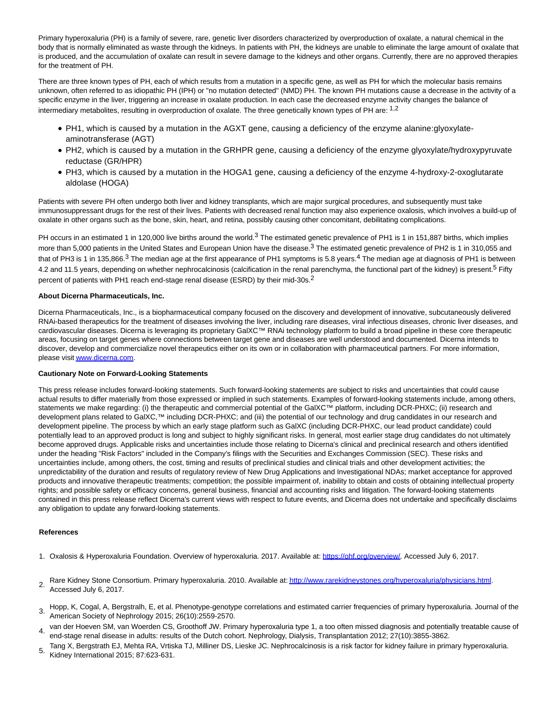Primary hyperoxaluria (PH) is a family of severe, rare, genetic liver disorders characterized by overproduction of oxalate, a natural chemical in the body that is normally eliminated as waste through the kidneys. In patients with PH, the kidneys are unable to eliminate the large amount of oxalate that is produced, and the accumulation of oxalate can result in severe damage to the kidneys and other organs. Currently, there are no approved therapies for the treatment of PH.

There are three known types of PH, each of which results from a mutation in a specific gene, as well as PH for which the molecular basis remains unknown, often referred to as idiopathic PH (IPH) or "no mutation detected" (NMD) PH. The known PH mutations cause a decrease in the activity of a specific enzyme in the liver, triggering an increase in oxalate production. In each case the decreased enzyme activity changes the balance of intermediary metabolites, resulting in overproduction of oxalate. The three genetically known types of PH are:  $1,2$ 

- PH1, which is caused by a mutation in the AGXT gene, causing a deficiency of the enzyme alanine:glyoxylateaminotransferase (AGT)
- PH2, which is caused by a mutation in the GRHPR gene, causing a deficiency of the enzyme glyoxylate/hydroxypyruvate reductase (GR/HPR)
- PH3, which is caused by a mutation in the HOGA1 gene, causing a deficiency of the enzyme 4-hydroxy-2-oxoglutarate aldolase (HOGA)

Patients with severe PH often undergo both liver and kidney transplants, which are major surgical procedures, and subsequently must take immunosuppressant drugs for the rest of their lives. Patients with decreased renal function may also experience oxalosis, which involves a build-up of oxalate in other organs such as the bone, skin, heart, and retina, possibly causing other concomitant, debilitating complications.

PH occurs in an estimated 1 in 120,000 live births around the world.<sup>3</sup> The estimated genetic prevalence of PH1 is 1 in 151,887 births, which implies more than 5,000 patients in the United States and European Union have the disease.<sup>3</sup> The estimated genetic prevalence of PH2 is 1 in 310,055 and that of PH3 is 1 in 135,866.<sup>3</sup> The median age at the first appearance of PH1 symptoms is 5.8 years.<sup>4</sup> The median age at diagnosis of PH1 is between 4.2 and 11.5 years, depending on whether nephrocalcinosis (calcification in the renal parenchyma, the functional part of the kidney) is present.<sup>5</sup> Fifty percent of patients with PH1 reach end-stage renal disease (ESRD) by their mid-30s.2

#### **About Dicerna Pharmaceuticals, Inc.**

Dicerna Pharmaceuticals, Inc., is a biopharmaceutical company focused on the discovery and development of innovative, subcutaneously delivered RNAi-based therapeutics for the treatment of diseases involving the liver, including rare diseases, viral infectious diseases, chronic liver diseases, and cardiovascular diseases. Dicerna is leveraging its proprietary GalXC™ RNAi technology platform to build a broad pipeline in these core therapeutic areas, focusing on target genes where connections between target gene and diseases are well understood and documented. Dicerna intends to discover, develop and commercialize novel therapeutics either on its own or in collaboration with pharmaceutical partners. For more information, please visi[t www.dicerna.com.](http://cts.businesswire.com/ct/CT?id=smartlink&url=http%3A%2F%2Fwww.dicerna.com&esheet=51889109&newsitemid=20181025005752&lan=en-US&anchor=www.dicerna.com&index=2&md5=aa1f6adcddcbf4d93fcaaee820b9e976)

#### **Cautionary Note on Forward-Looking Statements**

This press release includes forward-looking statements. Such forward-looking statements are subject to risks and uncertainties that could cause actual results to differ materially from those expressed or implied in such statements. Examples of forward-looking statements include, among others, statements we make regarding: (i) the therapeutic and commercial potential of the GalXC™ platform, including DCR-PHXC; (ii) research and development plans related to GalXC,™ including DCR-PHXC; and (iii) the potential of our technology and drug candidates in our research and development pipeline. The process by which an early stage platform such as GalXC (including DCR-PHXC, our lead product candidate) could potentially lead to an approved product is long and subject to highly significant risks. In general, most earlier stage drug candidates do not ultimately become approved drugs. Applicable risks and uncertainties include those relating to Dicerna's clinical and preclinical research and others identified under the heading "Risk Factors" included in the Company's filings with the Securities and Exchanges Commission (SEC). These risks and uncertainties include, among others, the cost, timing and results of preclinical studies and clinical trials and other development activities; the unpredictability of the duration and results of regulatory review of New Drug Applications and Investigational NDAs; market acceptance for approved products and innovative therapeutic treatments; competition; the possible impairment of, inability to obtain and costs of obtaining intellectual property rights; and possible safety or efficacy concerns, general business, financial and accounting risks and litigation. The forward-looking statements contained in this press release reflect Dicerna's current views with respect to future events, and Dicerna does not undertake and specifically disclaims any obligation to update any forward-looking statements.

#### **References**

- 1. Oxalosis & Hyperoxaluria Foundation. Overview of hyperoxaluria. 2017. Available at: [https://ohf.org/overview/.](http://cts.businesswire.com/ct/CT?id=smartlink&url=https%3A%2F%2Fohf.org%2Foverview%2F&esheet=51889109&newsitemid=20181025005752&lan=en-US&anchor=https%3A%2F%2Fohf.org%2Foverview%2F&index=3&md5=52e444da485190f6681c07a3102693f2) Accessed July 6, 2017.
- 2. Rare Kidney Stone Consortium. Primary hyperoxaluria. 2010. Available at[: http://www.rarekidneystones.org/hyperoxaluria/physicians.html.](http://cts.businesswire.com/ct/CT?id=smartlink&url=http%3A%2F%2Fwww.rarekidneystones.org%2Fhyperoxaluria%2Fphysicians.html&esheet=51889109&newsitemid=20181025005752&lan=en-US&anchor=http%3A%2F%2Fwww.rarekidneystones.org%2Fhyperoxaluria%2Fphysicians.html&index=4&md5=36db295658e86d5ac7167809129e68e4) Accessed July 6, 2017.
- 3. Hopp, K, Cogal, A, Bergstralh, E, et al. Phenotype-genotype correlations and estimated carrier frequencies of primary hyperoxaluria. Journal of the<br>3. Apprilian Opticker (Marketter: 0040) 0550 0570 American Society of Nephrology 2015; 26(10):2559-2570.
- van der Hoeven SM, van Woerden CS, Groothoff JW. Primary hyperoxaluria type 1, a too often missed diagnosis and potentially treatable cause of end-stage renal disease in adults: results of the Dutch cohort. Nephrology, Dialysis, Transplantation 2012; 27(10):3855-3862.
- 5. Tang X, Bergstrath EJ, Mehta RA, Vrtiska TJ, Milliner DS, Lieske JC. Nephrocalcinosis is a risk factor for kidney failure in primary hyperoxaluria. Kidney International 2015; 87:623-631.